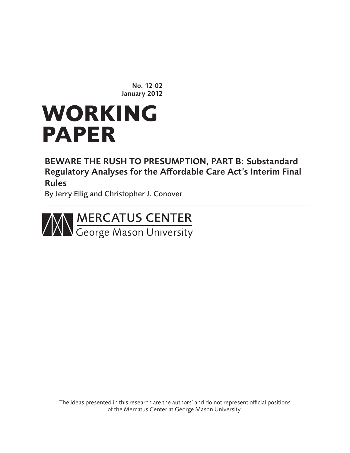No. 12-02 January 2012

# **WORKING PAPER**

BEWARE THE RUSH TO PRESUMPTION, PART B: Substandard Regulatory Analyses for the Affordable Care Act's Interim Final Rules

By Jerry Ellig and Christopher J. Conover



The ideas presented in this research are the authors' and do not represent official positions of the Mercatus Center at George Mason University.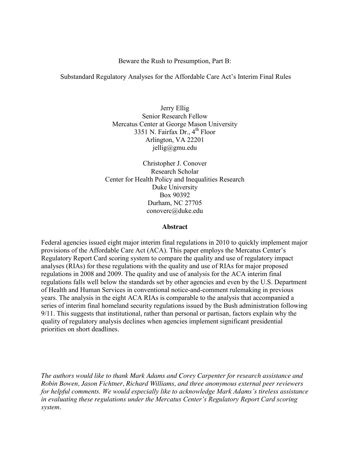Beware the Rush to Presumption, Part B:

Substandard Regulatory Analyses for the Affordable Care Act's Interim Final Rules

Jerry Ellig Senior Research Fellow Mercatus Center at George Mason University 3351 N. Fairfax Dr.,  $4^{th}$  Floor Arlington, VA 22201 jellig@gmu.edu

Christopher J. Conover Research Scholar Center for Health Policy and Inequalities Research Duke University Box 90392 Durham, NC 27705 conoverc@duke.edu

#### **Abstract**

Federal agencies issued eight major interim final regulations in 2010 to quickly implement major provisions of the Affordable Care Act (ACA). This paper employs the Mercatus Center's Regulatory Report Card scoring system to compare the quality and use of regulatory impact analyses (RIAs) for these regulations with the quality and use of RIAs for major proposed regulations in 2008 and 2009. The quality and use of analysis for the ACA interim final regulations falls well below the standards set by other agencies and even by the U.S. Department of Health and Human Services in conventional notice-and-comment rulemaking in previous years. The analysis in the eight ACA RIAs is comparable to the analysis that accompanied a series of interim final homeland security regulations issued by the Bush administration following 9/11. This suggests that institutional, rather than personal or partisan, factors explain why the quality of regulatory analysis declines when agencies implement significant presidential priorities on short deadlines.

*The authors would like to thank Mark Adams and Corey Carpenter for research assistance and Robin Bowen, Jason Fichtner, Richard Williams, and three anonymous external peer reviewers for helpful comments. We would especially like to acknowledge Mark Adams's tireless assistance in evaluating these regulations under the Mercatus Center's Regulatory Report Card scoring system.*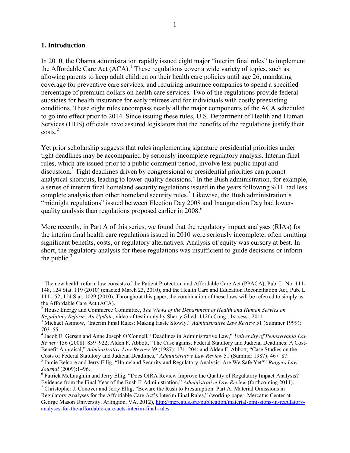#### **1. Introduction**

In 2010, the Obama administration rapidly issued eight major "interim final rules" to implement the Affordable Care Act (ACA).<sup>1</sup> These regulations cover a wide variety of topics, such as allowing parents to keep adult children on their health care policies until age 26, mandating coverage for preventive care services, and requiring insurance companies to spend a specified percentage of premium dollars on health care services. Two of the regulations provide federal subsidies for health insurance for early retirees and for individuals with costly preexisting conditions. These eight rules encompass nearly all the major components of the ACA scheduled to go into effect prior to 2014. Since issuing these rules, U.S. Department of Health and Human Services (HHS) officials have assured legislators that the benefits of the regulations justify their costs. 2

Yet prior scholarship suggests that rules implementing signature presidential priorities under tight deadlines may be accompanied by seriously incomplete regulatory analysis. Interim final rules, which are issued prior to a public comment period, involve less public input and discussion.<sup>3</sup> Tight deadlines driven by congressional or presidential priorities can prompt analytical shortcuts, leading to lower-quality decisions.<sup>4</sup> In the Bush administration, for example, a series of interim final homeland security regulations issued in the years following 9/11 had less complete analysis than other homeland security rules.<sup>5</sup> Likewise, the Bush administration's "midnight regulations" issued between Election Day 2008 and Inauguration Day had lowerquality analysis than regulations proposed earlier in 2008.<sup>6</sup>

More recently, in Part A of this series, we found that the regulatory impact analyses (RIAs) for the interim final health care regulations issued in 2010 were seriously incomplete, often omitting significant benefits, costs, or regulatory alternatives. Analysis of equity was cursory at best. In short, the regulatory analysis for these regulations was insufficient to guide decisions or inform the public. $<sup>7</sup>$ </sup>

<sup>&</sup>lt;sup>1</sup> The new health reform law consists of the Patient Protection and Affordable Care Act (PPACA), Pub. L. No. 111-148, 124 Stat. 119 (2010) (enacted March 23, 2010), and the Health Care and Education Reconciliation Act, Pub. L. 111-152, 124 Stat. 1029 (2010). Throughout this paper, the combination of these laws will be referred to simply as the Affordable Care Act (ACA).

<sup>&</sup>lt;sup>2</sup> House Energy and Commerce Committee, *The Views of the Department of Health and Human Servies on Regulatory Reform: An Update, video of testimony by Sherry Glied, 112th Cong., 1st sess., 2011.* 

<sup>&</sup>lt;sup>3</sup> Michael Asimow, "Interim Final Rules: Making Haste Slowly," *Administrative Law Review* 51 (Summer 1999): 703–55.

<sup>&</sup>lt;sup>4</sup> Jacob E. Gersen and Anne Joseph O'Connell, "Deadlines in Administrative Law," *University of Pennsylvania Law Review* 156 (2008): 839–922; Alden F. Abbott, "The Case against Federal Statutory and Judicial Deadlines: A Cost-Benefit Appraisal," *Administrative Law Review* 39 (1987): 171–204; and Alden F. Abbott, "Case Studies on the <sup>5</sup> Jamie Belcore and Jerry Ellig, "Homeland Security and Regulatory Analysis: Are We Safe Yet?" Rutgers Law Journal (2009):1-96.

<sup>&</sup>lt;sup>6</sup> Patrick McLaughlin and Jerry Ellig, "Does OIRA Review Improve the Quality of Regulatory Impact Analysis? Evidence from the Final Year of the Bush II Administration," *Administrative Law Review* (forthcoming 2011). <sup>7</sup> Christopher J. Conover and Jerry Ellig, "Beware the Rush to Presumption: Part A: Material Omissions in

Regulatory Analyses for the Affordable Care Act's Interim Final Rules," (working paper, Mercatus Center at George Mason University, Arlington, VA, 2012)[, http://mercatus.org/publication/material-omissions-in-regulatory](http://mercatus.org/publication/material-omissions-in-regulatory-analyses-for-the-affordable-care-acts-interim-final-rules)[analyses-for-the-affordable-care-acts-interim-final-rules.](http://mercatus.org/publication/material-omissions-in-regulatory-analyses-for-the-affordable-care-acts-interim-final-rules)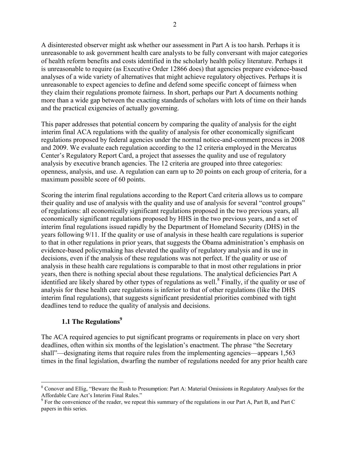A disinterested observer might ask whether our assessment in Part A is too harsh. Perhaps it is unreasonable to ask government health care analysts to be fully conversant with major categories of health reform benefits and costs identified in the scholarly health policy literature. Perhaps it is unreasonable to require (as Executive Order 12866 does) that agencies prepare evidence-based analyses of a wide variety of alternatives that might achieve regulatory objectives. Perhaps it is unreasonable to expect agencies to define and defend some specific concept of fairness when they claim their regulations promote fairness. In short, perhaps our Part A documents nothing more than a wide gap between the exacting standards of scholars with lots of time on their hands and the practical exigencies of actually governing.

This paper addresses that potential concern by comparing the quality of analysis for the eight interim final ACA regulations with the quality of analysis for other economically significant regulations proposed by federal agencies under the normal notice-and-comment process in 2008 and 2009. We evaluate each regulation according to the 12 criteria employed in the Mercatus Center's Regulatory Report Card, a project that assesses the quality and use of regulatory analysis by executive branch agencies. The 12 criteria are grouped into three categories: openness, analysis, and use. A regulation can earn up to 20 points on each group of criteria, for a maximum possible score of 60 points.

Scoring the interim final regulations according to the Report Card criteria allows us to compare their quality and use of analysis with the quality and use of analysis for several "control groups" of regulations: all economically significant regulations proposed in the two previous years, all economically significant regulations proposed by HHS in the two previous years, and a set of interim final regulations issued rapidly by the Department of Homeland Security (DHS) in the years following 9/11. If the quality or use of analysis in these health care regulations is superior to that in other regulations in prior years, that suggests the Obama administration's emphasis on evidence-based policymaking has elevated the quality of regulatory analysis and its use in decisions, even if the analysis of these regulations was not perfect. If the quality or use of analysis in these health care regulations is comparable to that in most other regulations in prior years, then there is nothing special about these regulations. The analytical deficiencies Part A identified are likely shared by other types of regulations as well.<sup>8</sup> Finally, if the quality or use of analysis for these health care regulations is inferior to that of other regulations (like the DHS interim final regulations), that suggests significant presidential priorities combined with tight deadlines tend to reduce the quality of analysis and decisions.

# **1.1 The Regulations**<sup>9</sup>

The ACA required agencies to put significant programs or requirements in place on very short deadlines, often within six months of the legislation's enactment. The phrase "the Secretary shall"—designating items that require rules from the implementing agencies—appears 1,563 times in the final legislation, dwarfing the number of regulations needed for any prior health care

<sup>&</sup>lt;sup>8</sup> Conover and Ellig, "Beware the Rush to Presumption: Part A: Material Omissions in Regulatory Analyses for the Affordable Care Act's Interim Final Rules."

 $9<sup>9</sup>$  For the convenience of the reader, we repeat this summary of the regulations in our Part A, Part B, and Part C papers in this series.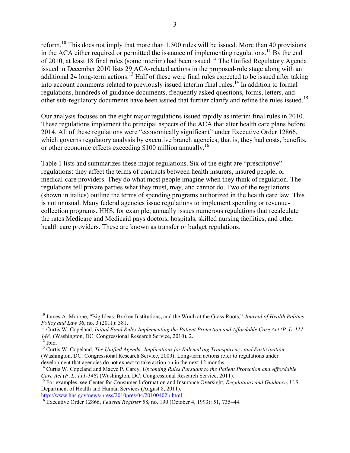reform.<sup>10</sup> This does not imply that more than 1,500 rules will be issued. More than 40 provisions in the ACA either required or permitted the issuance of implementing regulations.<sup>11</sup> By the end of 2010, at least 18 final rules (some interim) had been issued.<sup>12</sup> The Unified Regulatory Agenda issued in December 2010 lists 29 ACA-related actions in the proposed-rule stage along with an additional 24 long-term actions.<sup>13</sup> Half of these were final rules expected to be issued after taking into account comments related to previously issued interim final rules.<sup>14</sup> In addition to formal regulations, hundreds of guidance documents, frequently asked questions, forms, letters, and other sub-regulatory documents have been issued that further clarify and refine the rules issued.<sup>15</sup>

Our analysis focuses on the eight major regulations issued rapidly as interim final rules in 2010. These regulations implement the principal aspects of the ACA that alter health care plans before 2014. All of these regulations were "economically significant" under Executive Order 12866, which governs regulatory analysis by executive branch agencies; that is, they had costs, benefits, or other economic effects exceeding \$100 million annually.<sup>16</sup>

Table 1 lists and summarizes these major regulations. Six of the eight are "prescriptive" regulations: they affect the terms of contracts between health insurers, insured people, or medical-care providers. They do what most people imagine when they think of regulation. The regulations tell private parties what they must, may, and cannot do. Two of the regulations (shown in italics) outline the terms of spending programs authorized in the health care law. This is not unusual. Many federal agencies issue regulations to implement spending or revenuecollection programs. HHS, for example, annually issues numerous regulations that recalculate the rates Medicare and Medicaid pays doctors, hospitals, skilled nursing facilities, and other health care providers. These are known as transfer or budget regulations.

<sup>&</sup>lt;sup>10</sup> James A. Morone, "Big Ideas, Broken Institutions, and the Wrath at the Grass Roots," *Journal of Health Politics*, *Policy and Law* 36, no. 3 (2011): 381.

<sup>&</sup>lt;sup>11</sup> Curtis W. Copeland, *Initial Final Rules Implementing the Patient Protection and Affordable Care Act (P. L. 111-148)* (Washington, DC: Congressional Research Service, 2010), 2.

<sup>&</sup>lt;sup>12</sup> Ibid.<br><sup>13</sup> Curtis W. Copeland, *The Unified Agenda: Implications for Rulemaking Transparency and Participation* (Washington, DC: Congressional Research Service, 2009). Long-term actions refer to regulations under development that agencies do not expect to take action on in the next 12 months.

<sup>&</sup>lt;sup>14</sup> Curtis W. Copeland and Maeve P. Carey, *Upcoming Rules Pursuant to the Patient Protection and Affordable Care Act (P. L. 111-148)* (Washington, DC: Congressional Research Service, 2011).

<sup>&</sup>lt;sup>15</sup> For examples, see Center for Consumer Information and Insurance Oversight, *Regulations and Guidance*, U.S. Department of Health and Human Services (August 8, 2011), http://www.hhs.gov/news/press/2010pres/04/20100402b.html.

<sup>&</sup>lt;sup>16</sup> Executive Order 12866, *Federal Register* 58, no. 190 (October 4, 1993): 51, 735–44.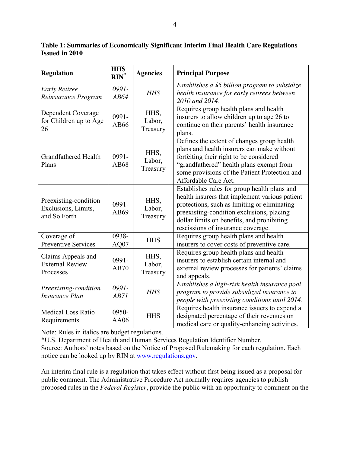**Table 1: Summaries of Economically Significant Interim Final Health Care Regulations Issued in 2010**

| <b>Regulation</b>                                            | <b>HHS</b><br>$RIN^*$ | <b>Agencies</b>            | <b>Principal Purpose</b>                                                                                                                                                                                                                                                        |
|--------------------------------------------------------------|-----------------------|----------------------------|---------------------------------------------------------------------------------------------------------------------------------------------------------------------------------------------------------------------------------------------------------------------------------|
| <b>Early Retiree</b><br>Reinsurance Program                  | 0991-<br>AB64         | <b>HHS</b>                 | Establishes a \$5 billion program to subsidize<br>health insurance for early retirees between<br>2010 and 2014.                                                                                                                                                                 |
| <b>Dependent Coverage</b><br>for Children up to Age<br>26    | 0991-<br>AB66         | HHS,<br>Labor,<br>Treasury | Requires group health plans and health<br>insurers to allow children up to age 26 to<br>continue on their parents' health insurance<br>plans.                                                                                                                                   |
| <b>Grandfathered Health</b><br>Plans                         | 0991-<br>AB68         | HHS,<br>Labor,<br>Treasury | Defines the extent of changes group health<br>plans and health insurers can make without<br>forfeiting their right to be considered<br>"grandfathered" health plans exempt from<br>some provisions of the Patient Protection and<br>Affordable Care Act.                        |
| Preexisting-condition<br>Exclusions, Limits,<br>and So Forth | 0991-<br>AB69         | HHS,<br>Labor,<br>Treasury | Establishes rules for group health plans and<br>health insurers that implement various patient<br>protections, such as limiting or eliminating<br>preexisting-condition exclusions, placing<br>dollar limits on benefits, and prohibiting<br>rescissions of insurance coverage. |
| Coverage of<br><b>Preventive Services</b>                    | 0938-<br>AQ07         | <b>HHS</b>                 | Requires group health plans and health<br>insurers to cover costs of preventive care.                                                                                                                                                                                           |
| Claims Appeals and<br><b>External Review</b><br>Processes    | 0991-<br>AB70         | HHS,<br>Labor,<br>Treasury | Requires group health plans and health<br>insurers to establish certain internal and<br>external review processes for patients' claims<br>and appeals.                                                                                                                          |
| Preexisting-condition<br><b>Insurance Plan</b>               | 0991-<br>AB71         | <b>HHS</b>                 | Establishes a high-risk health insurance pool<br>program to provide subsidized insurance to<br>people with preexisting conditions until 2014.                                                                                                                                   |
| <b>Medical Loss Ratio</b><br>Requirements                    | 0950-<br>AA06         | <b>HHS</b>                 | Requires health insurance issuers to expend a<br>designated percentage of their revenues on<br>medical care or quality-enhancing activities.                                                                                                                                    |

Note: Rules in italics are budget regulations.

\*U.S. Department of Health and Human Services Regulation Identifier Number.

Source: Authors' notes based on the Notice of Proposed Rulemaking for each regulation. Each notice can be looked up by RIN at [www.regulations.gov.](http://www.regulations.gov/)

An interim final rule is a regulation that takes effect without first being issued as a proposal for public comment. The Administrative Procedure Act normally requires agencies to publish proposed rules in the *Federal Register*, provide the public with an opportunity to comment on the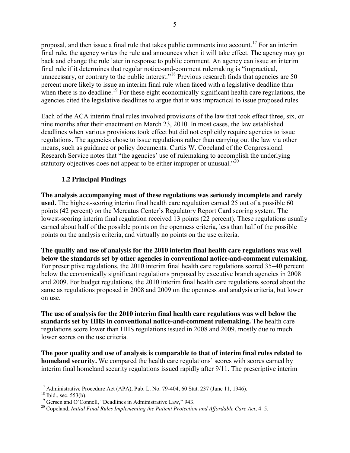proposal, and then issue a final rule that takes public comments into account.<sup>17</sup> For an interim final rule, the agency writes the rule and announces when it will take effect. The agency may go back and change the rule later in response to public comment. An agency can issue an interim final rule if it determines that regular notice-and-comment rulemaking is "impractical, unnecessary, or contrary to the public interest."<sup>18</sup> Previous research finds that agencies are 50 percent more likely to issue an interim final rule when faced with a legislative deadline than when there is no deadline.<sup>19</sup> For these eight economically significant health care regulations, the agencies cited the legislative deadlines to argue that it was impractical to issue proposed rules.

Each of the ACA interim final rules involved provisions of the law that took effect three, six, or nine months after their enactment on March 23, 2010. In most cases, the law established deadlines when various provisions took effect but did not explicitly require agencies to issue regulations. The agencies chose to issue regulations rather than carrying out the law via other means, such as guidance or policy documents. Curtis W. Copeland of the Congressional Research Service notes that "the agencies' use of rulemaking to accomplish the underlying statutory objectives does not appear to be either improper or unusual."<sup>20</sup>

# **1.2 Principal Findings**

**The analysis accompanying most of these regulations was seriously incomplete and rarely used.** The highest-scoring interim final health care regulation earned 25 out of a possible 60 points (42 percent) on the Mercatus Center's Regulatory Report Card scoring system. The lowest-scoring interim final regulation received 13 points (22 percent). These regulations usually earned about half of the possible points on the openness criteria, less than half of the possible points on the analysis criteria, and virtually no points on the use criteria.

**The quality and use of analysis for the 2010 interim final health care regulations was well below the standards set by other agencies in conventional notice-and-comment rulemaking.** For prescriptive regulations, the 2010 interim final health care regulations scored 35–40 percent below the economically significant regulations proposed by executive branch agencies in 2008 and 2009. For budget regulations, the 2010 interim final health care regulations scored about the same as regulations proposed in 2008 and 2009 on the openness and analysis criteria, but lower on use.

**The use of analysis for the 2010 interim final health care regulations was well below the standards set by HHS in conventional notice-and-comment rulemaking.** The health care regulations score lower than HHS regulations issued in 2008 and 2009, mostly due to much lower scores on the use criteria.

**The poor quality and use of analysis is comparable to that of interim final rules related to homeland security.** We compared the health care regulations' scores with scores earned by interim final homeland security regulations issued rapidly after 9/11. The prescriptive interim

<sup>&</sup>lt;sup>17</sup> Administrative Procedure Act (APA), Pub. L. No. 79-404, 60 Stat. 237 (June 11, 1946).<br><sup>18</sup> Ibid., sec. 553(b).<br><sup>19</sup> Gersen and O'Connell, "Deadlines in Administrative Law," 943.<br><sup>20</sup> Copeland, *Initial Final Rules Im*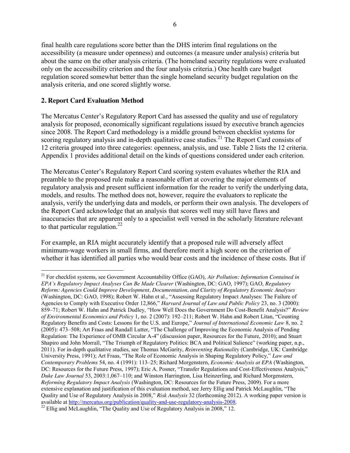final health care regulations score better than the DHS interim final regulations on the accessibility (a measure under openness) and outcomes (a measure under analysis) criteria but about the same on the other analysis criteria. (The homeland security regulations were evaluated only on the accessibility criterion and the four analysis criteria.) One health care budget regulation scored somewhat better than the single homeland security budget regulation on the analysis criteria, and one scored slightly worse.

# **2. Report Card Evaluation Method**

The Mercatus Center's Regulatory Report Card has assessed the quality and use of regulatory analysis for proposed, economically significant regulations issued by executive branch agencies since 2008. The Report Card methodology is a middle ground between checklist systems for scoring regulatory analysis and in-depth qualitative case studies.<sup>21</sup> The Report Card consists of 12 criteria grouped into three categories: openness, analysis, and use. Table 2 lists the 12 criteria. Appendix 1 provides additional detail on the kinds of questions considered under each criterion.

The Mercatus Center's Regulatory Report Card scoring system evaluates whether the RIA and preamble to the proposed rule make a reasonable effort at covering the major elements of regulatory analysis and present sufficient information for the reader to verify the underlying data, models, and results. The method does not, however, require the evaluators to replicate the analysis, verify the underlying data and models, or perform their own analysis. The developers of the Report Card acknowledge that an analysis that scores well may still have flaws and inaccuracies that are apparent only to a specialist well versed in the scholarly literature relevant to that particular regulation.<sup>22</sup>

For example, an RIA might accurately identify that a proposed rule will adversely affect minimum-wage workers in small firms, and therefore merit a high score on the criterion of whether it has identified all parties who would bear costs and the incidence of these costs. But if

 <sup>21</sup> For checklist systems, see Government Accountability Office (GAO), *Air Pollution: Information Contained in EPA's Regulatory Impact Analyses Can Be Made Clearer* (Washington, DC: GAO, 1997); GAO, *Regulatory Reform: Agencies Could Improve Development, Documentation, and Clarity of Regulatory Economic Analyses* (Washington, DC: GAO, 1998); Robert W. Hahn et al., "Assessing Regulatory Impact Analyses: The Failure of Agencies to Comply with Executive Order 12,866," *Harvard Journal of Law and Public Policy* 23, no. 3 (2000): 859–71; Robert W. Hahn and Patrick Dudley, "How Well Does the Government Do Cost-Benefit Analysis?" *Review of Environmental Economics and Policy* 1, no. 2 (2007): 192–211; Robert W. Hahn and Robert Litan, "Counting Regulatory Benefits and Costs: Lessons for the U.S. and Europe," *Journal of International Economic Law* 8, no. 2 (2005): 473–508; Art Fraas and Randall Lutter, "The Challenge of Improving the Economic Analysis of Pending Regulation: The Experience of OMB Circular A-4" (discussion paper, Resources for the Future, 2010); and Stuart Shapiro and John Morrall, "The Triumph of Regulatory Politics: BCA and Political Salience" (working paper, n.p., 2011). For in-depth qualitative studies, see Thomas McGarity, *Reinventing Rationality* (Cambridge, UK: Cambridge University Press, 1991); Art Fraas, "The Role of Economic Analysis in Shaping Regulatory Policy," *Law and Contemporary Problems* 54, no. 4 (1991): 113–25; Richard Morgenstern, *Economic Analysis at EPA* (Washington, DC: Resources for the Future Press, 1997); Eric A. Posner, "Transfer Regulations and Cost-Effectiveness Analysis," *Duke Law Journal* 53, 2003:1,067–110; and Winston Harrington, Lisa Heinzerling, and Richard Morgenstern, *Reforming Regulatory Impact Analysis* (Washington, DC: Resources for the Future Press, 2009). For a more extensive explanation and justification of this evaluation method, see Jerry Ellig and Patrick McLaughlin, "The Quality and Use of Regulatory Analysis in 2008," *Risk Analysis* 32 (forthcoming 2012). A working paper version is available at http://mercatus.org/publication/quality-and-use-regulatory-analysis-2008.

<sup>&</sup>lt;sup>22</sup> Ellig and McLaughlin, "The Quality and Use of Regulatory Analysis in 2008," 12.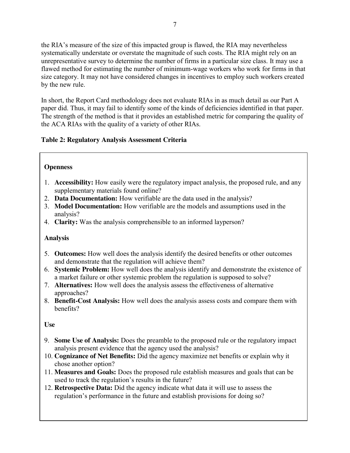the RIA's measure of the size of this impacted group is flawed, the RIA may nevertheless systematically understate or overstate the magnitude of such costs. The RIA might rely on an unrepresentative survey to determine the number of firms in a particular size class. It may use a flawed method for estimating the number of minimum-wage workers who work for firms in that size category. It may not have considered changes in incentives to employ such workers created by the new rule.

In short, the Report Card methodology does not evaluate RIAs in as much detail as our Part A paper did. Thus, it may fail to identify some of the kinds of deficiencies identified in that paper. The strength of the method is that it provides an established metric for comparing the quality of the ACA RIAs with the quality of a variety of other RIAs.

# **Table 2: Regulatory Analysis Assessment Criteria**

# **Openness**

- 1. **Accessibility:** How easily were the regulatory impact analysis, the proposed rule, and any supplementary materials found online?
- 2. **Data Documentation:** How verifiable are the data used in the analysis?
- 3. **Model Documentation:** How verifiable are the models and assumptions used in the analysis?
- 4. **Clarity:** Was the analysis comprehensible to an informed layperson?

# **Analysis**

- 5. **Outcomes:** How well does the analysis identify the desired benefits or other outcomes and demonstrate that the regulation will achieve them?
- 6. **Systemic Problem:** How well does the analysis identify and demonstrate the existence of a market failure or other systemic problem the regulation is supposed to solve?
- 7. **Alternatives:** How well does the analysis assess the effectiveness of alternative approaches?
- 8. **Benefit-Cost Analysis:** How well does the analysis assess costs and compare them with benefits?

# **Use**

- 9. **Some Use of Analysis:** Does the preamble to the proposed rule or the regulatory impact analysis present evidence that the agency used the analysis?
- 10. **Cognizance of Net Benefits:** Did the agency maximize net benefits or explain why it chose another option?
- 11. **Measures and Goals:** Does the proposed rule establish measures and goals that can be used to track the regulation's results in the future?
- 12. **Retrospective Data:** Did the agency indicate what data it will use to assess the regulation's performance in the future and establish provisions for doing so?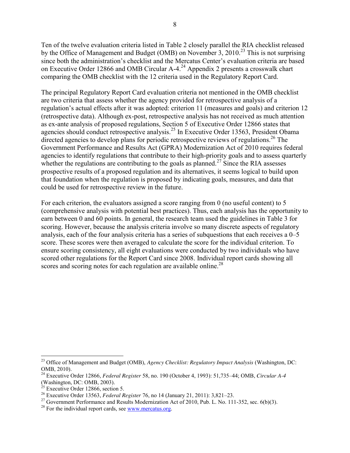Ten of the twelve evaluation criteria listed in Table 2 closely parallel the RIA checklist released by the Office of Management and Budget (OMB) on November 3, 2010.<sup>23</sup> This is not surprising since both the administration's checklist and the Mercatus Center's evaluation criteria are based on Executive Order 12866 and OMB Circular A-4.<sup>24</sup> Appendix 2 presents a crosswalk chart comparing the OMB checklist with the 12 criteria used in the Regulatory Report Card.

The principal Regulatory Report Card evaluation criteria not mentioned in the OMB checklist are two criteria that assess whether the agency provided for retrospective analysis of a regulation's actual effects after it was adopted: criterion 11 (measures and goals) and criterion 12 (retrospective data). Although ex-post, retrospective analysis has not received as much attention as ex-ante analysis of proposed regulations, Section 5 of Executive Order 12866 states that agencies should conduct retrospective analysis.<sup>25</sup> In Executive Order 13563, President Obama directed agencies to develop plans for periodic retrospective reviews of regulations.<sup>26</sup> The Government Performance and Results Act (GPRA) Modernization Act of 2010 requires federal agencies to identify regulations that contribute to their high-priority goals and to assess quarterly whether the regulations are contributing to the goals as planned.<sup>27</sup> Since the RIA assesses prospective results of a proposed regulation and its alternatives, it seems logical to build upon that foundation when the regulation is proposed by indicating goals, measures, and data that could be used for retrospective review in the future.

For each criterion, the evaluators assigned a score ranging from 0 (no useful content) to 5 (comprehensive analysis with potential best practices). Thus, each analysis has the opportunity to earn between 0 and 60 points. In general, the research team used the guidelines in Table 3 for scoring. However, because the analysis criteria involve so many discrete aspects of regulatory analysis, each of the four analysis criteria has a series of subquestions that each receives a 0–5 score. These scores were then averaged to calculate the score for the individual criterion. To ensure scoring consistency, all eight evaluations were conducted by two individuals who have scored other regulations for the Report Card since 2008. Individual report cards showing all scores and scoring notes for each regulation are available online.<sup>28</sup>

<sup>&</sup>lt;sup>23</sup> Office of Management and Budget (OMB), *Agency Checklist: Regulatory Impact Analysis* (Washington, DC: OMB, 2010).

<sup>24</sup> Executive Order 12866, *Federal Register* 58, no. 190 (October 4, 1993): 51,735–44; OMB, *Circular A-4* (Washington, DC: OMB, 2003).<br><sup>25</sup> Executive Order 12866, section 5.

<sup>&</sup>lt;sup>26</sup> Executive Order 13563, *Federal Register* 76, no 14 (January 21, 2011): 3,821–23.<br><sup>27</sup> Government Performance and Results Modernization Act of 2010, Pub. L. No. 111-352, sec. 6(b)(3).<br><sup>28</sup> For the individual report c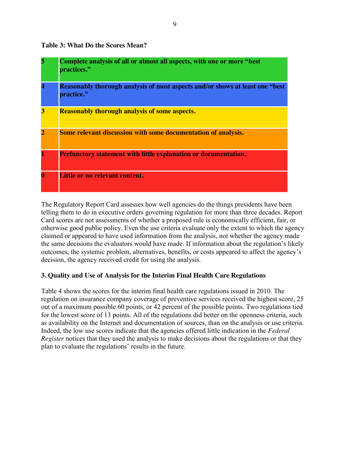**Table 3: What Do the Scores Mean?**

| 5                   | Complete analysis of all or almost all aspects, with one or more "best"<br>practices."      |
|---------------------|---------------------------------------------------------------------------------------------|
| $\overline{\bf{4}}$ | Reasonably thorough analysis of most aspects and/or shows at least one "best"<br>practice." |
| 3                   | <b>Reasonably thorough analysis of some aspects.</b>                                        |
|                     | Some relevant discussion with some documentation of analysis.                               |
|                     | Perfunctory statement with little explanation or documentation.                             |
| 0                   | Little or no relevant content.                                                              |

The Regulatory Report Card assesses how well agencies do the things presidents have been telling them to do in executive orders governing regulation for more than three decades. Report Card scores are not assessments of whether a proposed rule is economically efficient, fair, or otherwise good public policy. Even the use criteria evaluate only the extent to which the agency claimed or appeared to have used information from the analysis, not whether the agency made the same decisions the evaluators would have made. If information about the regulation's likely outcomes, the systemic problem, alternatives, benefits, or costs appeared to affect the agency's decision, the agency received credit for using the analysis.

# **3. Quality and Use of Analysis for the Interim Final Health Care Regulations**

Table 4 shows the scores for the interim final health care regulations issued in 2010. The regulation on insurance company coverage of preventive services received the highest score, 25 out of a maximum possible 60 points, or 42 percent of the possible points. Two regulations tied for the lowest score of 13 points. All of the regulations did better on the openness criteria, such as availability on the Internet and documentation of sources, than on the analysis or use criteria. Indeed, the low use scores indicate that the agencies offered little indication in the *Federal Register* notices that they used the analysis to make decisions about the regulations or that they plan to evaluate the regulations' results in the future.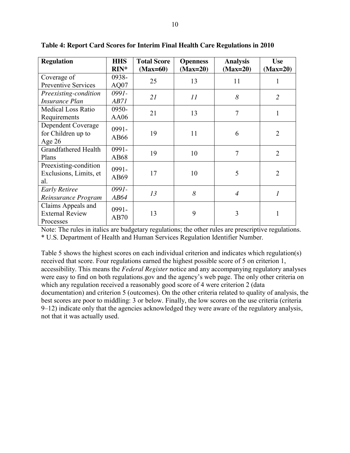| <b>Regulation</b>          | <b>HHS</b> | <b>Total Score</b> | <b>Openness</b> | <b>Analysis</b> | <b>Use</b>     |
|----------------------------|------------|--------------------|-----------------|-----------------|----------------|
|                            | $RIN^*$    | $(Max=60)$         | $(Max=20)$      | $(Max=20)$      | $(Max=20)$     |
| Coverage of                | 0938-      | 25                 | 13              | 11              |                |
| <b>Preventive Services</b> | AQ07       |                    |                 |                 |                |
| Preexisting-condition      | 0991-      | 21                 | 11              | 8               | $\overline{2}$ |
| <b>Insurance Plan</b>      | AB71       |                    |                 |                 |                |
| <b>Medical Loss Ratio</b>  | 0950-      | 21                 | 13              | $\overline{7}$  |                |
| Requirements               | AA06       |                    |                 |                 |                |
| Dependent Coverage         | 0991-      |                    |                 |                 |                |
| for Children up to         | AB66       | 19                 | 11              | 6               | $\overline{2}$ |
| Age $26$                   |            |                    |                 |                 |                |
| Grandfathered Health       | 0991-      | 19                 | 10              | 7               | $\overline{2}$ |
| Plans                      | AB68       |                    |                 |                 |                |
| Preexisting-condition      | 0991-      |                    |                 |                 |                |
| Exclusions, Limits, et     | AB69       | 17                 | 10              | 5               | $\overline{2}$ |
| al.                        |            |                    |                 |                 |                |
| <b>Early Retiree</b>       | 0991-      | 13                 | 8               | $\overline{4}$  |                |
| Reinsurance Program        | AB64       |                    |                 |                 |                |
| Claims Appeals and         | 0991-      |                    |                 |                 |                |
| <b>External Review</b>     | AB70       | 13                 | 9               | 3               |                |
| Processes                  |            |                    |                 |                 |                |

**Table 4: Report Card Scores for Interim Final Health Care Regulations in 2010**

Note: The rules in italics are budgetary regulations; the other rules are prescriptive regulations.

\* U.S. Department of Health and Human Services Regulation Identifier Number.

Table 5 shows the highest scores on each individual criterion and indicates which regulation(s) received that score. Four regulations earned the highest possible score of 5 on criterion 1, accessibility. This means the *Federal Register* notice and any accompanying regulatory analyses were easy to find on both regulations.gov and the agency's web page. The only other criteria on which any regulation received a reasonably good score of 4 were criterion 2 (data documentation) and criterion 5 (outcomes). On the other criteria related to quality of analysis, the best scores are poor to middling: 3 or below. Finally, the low scores on the use criteria (criteria 9–12) indicate only that the agencies acknowledged they were aware of the regulatory analysis, not that it was actually used.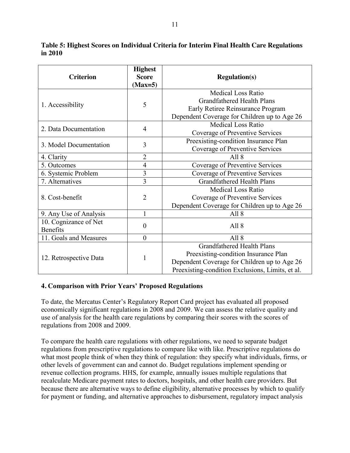|                        | <b>Highest</b> |                                                  |  |
|------------------------|----------------|--------------------------------------------------|--|
| <b>Criterion</b>       | <b>Score</b>   | <b>Regulation(s)</b>                             |  |
|                        | $(Max=5)$      |                                                  |  |
|                        |                | <b>Medical Loss Ratio</b>                        |  |
|                        | 5              | Grandfathered Health Plans                       |  |
| 1. Accessibility       |                | Early Retiree Reinsurance Program                |  |
|                        |                | Dependent Coverage for Children up to Age 26     |  |
|                        |                | <b>Medical Loss Ratio</b>                        |  |
| 2. Data Documentation  | $\overline{4}$ | Coverage of Preventive Services                  |  |
| 3. Model Documentation | 3              | Preexisting-condition Insurance Plan             |  |
|                        |                | Coverage of Preventive Services                  |  |
| 4. Clarity             | $\overline{2}$ | All 8                                            |  |
| 5. Outcomes            | $\overline{4}$ | Coverage of Preventive Services                  |  |
| 6. Systemic Problem    | 3              | Coverage of Preventive Services                  |  |
| 7. Alternatives        | $\overline{3}$ | <b>Grandfathered Health Plans</b>                |  |
|                        |                | <b>Medical Loss Ratio</b>                        |  |
| 8. Cost-benefit        | $\overline{2}$ | Coverage of Preventive Services                  |  |
|                        |                | Dependent Coverage for Children up to Age 26     |  |
| 9. Any Use of Analysis | 1              | All <sub>8</sub>                                 |  |
| 10. Cognizance of Net  | $\theta$       | All $8$                                          |  |
| <b>Benefits</b>        |                |                                                  |  |
| 11. Goals and Measures | $\overline{0}$ | All 8                                            |  |
|                        |                | <b>Grandfathered Health Plans</b>                |  |
|                        |                | Preexisting-condition Insurance Plan             |  |
| 12. Retrospective Data |                | Dependent Coverage for Children up to Age 26     |  |
|                        |                | Preexisting-condition Exclusions, Limits, et al. |  |

**Table 5: Highest Scores on Individual Criteria for Interim Final Health Care Regulations in 2010**

# **4. Comparison with Prior Years' Proposed Regulations**

To date, the Mercatus Center's Regulatory Report Card project has evaluated all proposed economically significant regulations in 2008 and 2009. We can assess the relative quality and use of analysis for the health care regulations by comparing their scores with the scores of regulations from 2008 and 2009.

To compare the health care regulations with other regulations, we need to separate budget regulations from prescriptive regulations to compare like with like. Prescriptive regulations do what most people think of when they think of regulation: they specify what individuals, firms, or other levels of government can and cannot do. Budget regulations implement spending or revenue collection programs. HHS, for example, annually issues multiple regulations that recalculate Medicare payment rates to doctors, hospitals, and other health care providers. But because there are alternative ways to define eligibility, alternative processes by which to qualify for payment or funding, and alternative approaches to disbursement, regulatory impact analysis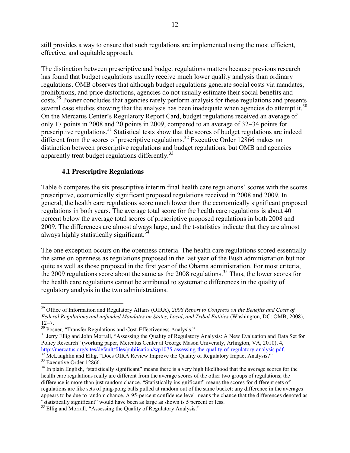still provides a way to ensure that such regulations are implemented using the most efficient, effective, and equitable approach.

The distinction between prescriptive and budget regulations matters because previous research has found that budget regulations usually receive much lower quality analysis than ordinary regulations. OMB observes that although budget regulations generate social costs via mandates, prohibitions, and price distortions, agencies do not usually estimate their social benefits and costs.<sup>29</sup> Posner concludes that agencies rarely perform analysis for these regulations and presents several case studies showing that the analysis has been inadequate when agencies do attempt it.<sup>30</sup> On the Mercatus Center's Regulatory Report Card, budget regulations received an average of only 17 points in 2008 and 20 points in 2009, compared to an average of 32–34 points for prescriptive regulations.<sup>31</sup> Statistical tests show that the scores of budget regulations are indeed different from the scores of prescriptive regulations.<sup>32</sup> Executive Order 12866 makes no distinction between prescriptive regulations and budget regulations, but OMB and agencies apparently treat budget regulations differently. $33$ 

# **4.1 Prescriptive Regulations**

Table 6 compares the six prescriptive interim final health care regulations' scores with the scores prescriptive, economically significant proposed regulations received in 2008 and 2009. In general, the health care regulations score much lower than the economically significant proposed regulations in both years. The average total score for the health care regulations is about 40 percent below the average total scores of prescriptive proposed regulations in both 2008 and 2009. The differences are almost always large, and the t-statistics indicate that they are almost always highly statistically significant.<sup>34</sup>

The one exception occurs on the openness criteria. The health care regulations scored essentially the same on openness as regulations proposed in the last year of the Bush administration but not quite as well as those proposed in the first year of the Obama administration. For most criteria, the 2009 regulations score about the same as the 2008 regulations. <sup>35</sup> Thus, the lower scores for the health care regulations cannot be attributed to systematic differences in the quality of regulatory analysis in the two administrations.

<sup>&</sup>lt;sup>29</sup> Office of Information and Regulatory Affairs (OIRA), 2008 Report to Congress on the Benefits and Costs of *Federal Regulations and unfunded Mandates on States, Local, and Tribal Entities* (Washington, DC: OMB, 2008),

<sup>12–7.&</sup>lt;br><sup>30</sup> Posner, "Transfer Regulations and Cost-Effectiveness Analysis."<br><sup>31</sup> Jerry Ellig and John Morrall, "Assessing the Quality of Regulatory Analysis: A New Evaluation and Data Set for Policy Research" (working paper, Mercatus Center at George Mason University, Arlington, VA, 2010), 4,  $\frac{http://mercatus.org/sites/default/files/publication/wp1075-assessing-the-quality-of-regulatory-analysis.pdf}{32} \text{McLaughlin and Ellig, "Does OIRA Review Improve the Quality of Regularly-ongulatory-analysis.pdf}.$ <sup>33</sup> Executive Order 12866.<br>
<sup>34</sup> In plain English, "statistically significant" means there is a very high likelihood that the average scores for the

health care regulations really are different from the average scores of the other two groups of regulations; the difference is more than just random chance. "Statistically insignificant" means the scores for different sets of regulations are like sets of ping-pong balls pulled at random out of the same bucket: any difference in the averages appears to be due to random chance. A 95-percent confidence level means the chance that the differences denoted as "statistically significant" would have been as large as shown is 5 percent or less.

<sup>&</sup>lt;sup>35</sup> Ellig and Morrall, "Assessing the Quality of Regulatory Analysis."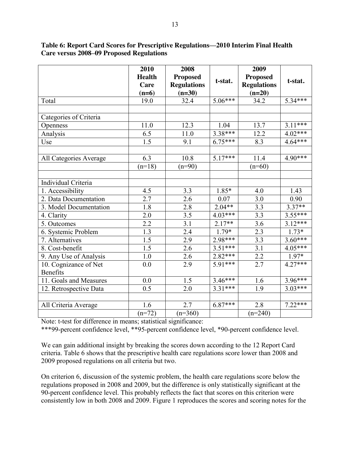|                        | 2010                | 2008               |           | 2009               |           |
|------------------------|---------------------|--------------------|-----------|--------------------|-----------|
|                        | <b>Health</b>       | <b>Proposed</b>    | t-stat.   | <b>Proposed</b>    | t-stat.   |
|                        | Care                | <b>Regulations</b> |           | <b>Regulations</b> |           |
|                        | $(n=6)$             | $(n=30)$           |           | $(n=20)$           |           |
| Total                  | 19.0                | 32.4               | $5.06***$ | 34.2               | $5.34***$ |
|                        |                     |                    |           |                    |           |
| Categories of Criteria |                     |                    |           |                    |           |
| Openness               | 11.0                | 12.3               | 1.04      | 13.7               | $3.11***$ |
| Analysis               | 6.5                 | 11.0               | $3.38***$ | 12.2               | $4.02***$ |
| Use                    | $\overline{1.5}$    | 9.1                | $6.75***$ | 8.3                | $4.64***$ |
|                        |                     |                    |           |                    |           |
| All Categories Average | 6.3                 | 10.8               | $5.17***$ | 11.4               | $4.90***$ |
|                        | $(n=18)$            | $(n=90)$           |           | $(n=60)$           |           |
|                        |                     |                    |           |                    |           |
| Individual Criteria    |                     |                    |           |                    |           |
| 1. Accessibility       | 4.5                 | 3.3                | 1.85*     | 4.0                | 1.43      |
| 2. Data Documentation  | 2.7                 | 2.6                | 0.07      | 3.0                | 0.90      |
| 3. Model Documentation | 1.8                 | 2.8                | $2.04**$  | 3.3                | $3.37**$  |
| 4. Clarity             | 2.0                 | 3.5                | $4.03***$ | 3.3                | $3.55***$ |
| 5. Outcomes            | $\overline{2.2}$    | 3.1                | $2.17**$  | 3.6                | $3.12***$ |
| 6. Systemic Problem    | 1.3                 | 2.4                | $1.79*$   | 2.3                | $1.73*$   |
| 7. Alternatives        | $\overline{1.5}$    | 2.9                | $2.98***$ | 3.3                | $3.60***$ |
| 8. Cost-benefit        | 1.5                 | 2.6                | $3.51***$ | 3.1                | $4.05***$ |
| 9. Any Use of Analysis | 1.0                 | 2.6                | $2.82***$ | 2.2                | $1.97*$   |
| 10. Cognizance of Net  | 0.0                 | 2.9                | $5.91***$ | 2.7                | $4.27***$ |
| <b>Benefits</b>        |                     |                    |           |                    |           |
| 11. Goals and Measures | 0.0                 | 1.5                | $3.46***$ | 1.6                | $3.96***$ |
| 12. Retrospective Data | 0.5                 | 2.0                | $3.31***$ | 1.9                | $3.03***$ |
|                        |                     |                    |           |                    |           |
| All Criteria Average   | 1.6                 | 2.7                | $6.87***$ | 2.8                | $7.22***$ |
|                        | $\overline{(n=72)}$ | $(n=360)$          |           | $(n=240)$          |           |

**Table 6: Report Card Scores for Prescriptive Regulations—2010 Interim Final Health Care versus 2008–09 Proposed Regulations**

Note: t-test for difference in means; statistical significance:

\*\*\*99-percent confidence level, \*\*95-percent confidence level, \*90-percent confidence level.

We can gain additional insight by breaking the scores down according to the 12 Report Card criteria. Table 6 shows that the prescriptive health care regulations score lower than 2008 and 2009 proposed regulations on all criteria but two.

On criterion 6, discussion of the systemic problem, the health care regulations score below the regulations proposed in 2008 and 2009, but the difference is only statistically significant at the 90-percent confidence level. This probably reflects the fact that scores on this criterion were consistently low in both 2008 and 2009. Figure 1 reproduces the scores and scoring notes for the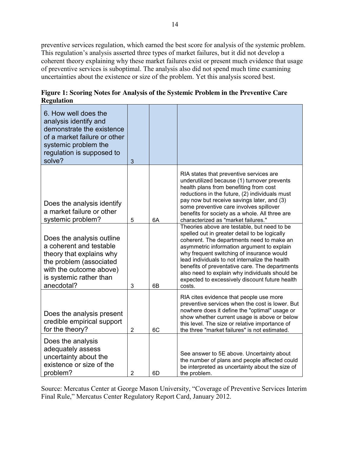preventive services regulation, which earned the best score for analysis of the systemic problem. This regulation's analysis asserted three types of market failures, but it did not develop a coherent theory explaining why these market failures exist or present much evidence that usage of preventive services is suboptimal. The analysis also did not spend much time examining uncertainties about the existence or size of the problem. Yet this analysis scored best.

| Figure 1: Scoring Notes for Analysis of the Systemic Problem in the Preventive Care |  |  |  |
|-------------------------------------------------------------------------------------|--|--|--|
| <b>Regulation</b>                                                                   |  |  |  |

| 6. How well does the<br>analysis identify and<br>demonstrate the existence<br>of a market failure or other<br>systemic problem the<br>regulation is supposed to<br>solve?       | 3              |    |                                                                                                                                                                                                                                                                                                                                                                                                                                                        |
|---------------------------------------------------------------------------------------------------------------------------------------------------------------------------------|----------------|----|--------------------------------------------------------------------------------------------------------------------------------------------------------------------------------------------------------------------------------------------------------------------------------------------------------------------------------------------------------------------------------------------------------------------------------------------------------|
| Does the analysis identify<br>a market failure or other<br>systemic problem?                                                                                                    | 5              | 6A | RIA states that preventive services are<br>underutilized because (1) turnover prevents<br>health plans from benefiting from cost<br>reductions in the future, (2) individuals must<br>pay now but receive savings later, and (3)<br>some preventive care involves spillover<br>benefits for society as a whole. All three are<br>characterized as "market failures."                                                                                   |
| Does the analysis outline<br>a coherent and testable<br>theory that explains why<br>the problem (associated<br>with the outcome above)<br>is systemic rather than<br>anecdotal? | 3              | 6B | Theories above are testable, but need to be<br>spelled out in greater detail to be logically<br>coherent. The departments need to make an<br>asymmetric information argument to explain<br>why frequent switching of insurance would<br>lead individuals to not internalize the health<br>benefits of preventative care. The departments<br>also need to explain why individuals should be<br>expected to excessively discount future health<br>costs. |
| Does the analysis present<br>credible empirical support<br>for the theory?                                                                                                      | $\overline{2}$ | 6C | RIA cites evidence that people use more<br>preventive services when the cost is lower. But<br>nowhere does it define the "optimal" usage or<br>show whether current usage is above or below<br>this level. The size or relative importance of<br>the three "market failures" is not estimated.                                                                                                                                                         |
| Does the analysis<br>adequately assess<br>uncertainty about the<br>existence or size of the<br>problem?                                                                         | $\overline{2}$ | 6D | See answer to 5E above. Uncertainty about<br>the number of plans and people affected could<br>be interpreted as uncertainty about the size of<br>the problem.                                                                                                                                                                                                                                                                                          |

Source: Mercatus Center at George Mason University, "Coverage of Preventive Services Interim Final Rule," Mercatus Center Regulatory Report Card, January 2012.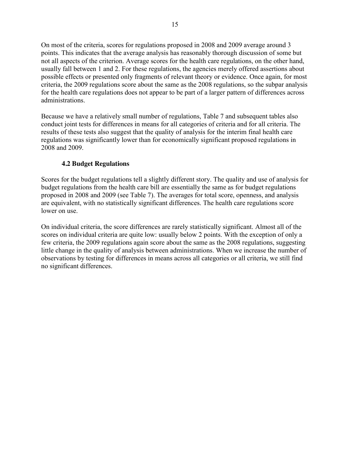On most of the criteria, scores for regulations proposed in 2008 and 2009 average around 3 points. This indicates that the average analysis has reasonably thorough discussion of some but not all aspects of the criterion. Average scores for the health care regulations, on the other hand, usually fall between 1 and 2. For these regulations, the agencies merely offered assertions about possible effects or presented only fragments of relevant theory or evidence. Once again, for most criteria, the 2009 regulations score about the same as the 2008 regulations, so the subpar analysis for the health care regulations does not appear to be part of a larger pattern of differences across administrations.

Because we have a relatively small number of regulations, Table 7 and subsequent tables also conduct joint tests for differences in means for all categories of criteria and for all criteria. The results of these tests also suggest that the quality of analysis for the interim final health care regulations was significantly lower than for economically significant proposed regulations in 2008 and 2009.

# **4.2 Budget Regulations**

Scores for the budget regulations tell a slightly different story. The quality and use of analysis for budget regulations from the health care bill are essentially the same as for budget regulations proposed in 2008 and 2009 (see Table 7). The averages for total score, openness, and analysis are equivalent, with no statistically significant differences. The health care regulations score lower on use.

On individual criteria, the score differences are rarely statistically significant. Almost all of the scores on individual criteria are quite low: usually below 2 points. With the exception of only a few criteria, the 2009 regulations again score about the same as the 2008 regulations, suggesting little change in the quality of analysis between administrations. When we increase the number of observations by testing for differences in means across all categories or all criteria, we still find no significant differences.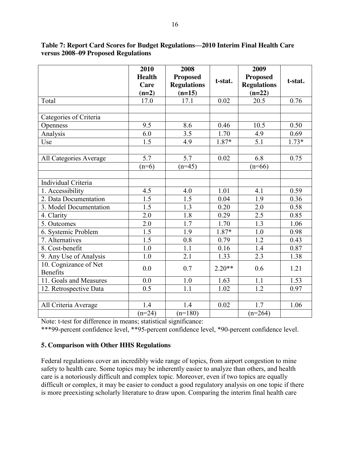|                        | 2010             | 2008               |          | 2009               |         |
|------------------------|------------------|--------------------|----------|--------------------|---------|
|                        | <b>Health</b>    | <b>Proposed</b>    | t-stat.  | <b>Proposed</b>    | t-stat. |
|                        | Care             | <b>Regulations</b> |          | <b>Regulations</b> |         |
|                        | $(n=2)$          | $(n=15)$           |          | $(n=22)$           |         |
| Total                  | 17.0             | 17.1               | 0.02     | 20.5               | 0.76    |
|                        |                  |                    |          |                    |         |
| Categories of Criteria |                  |                    |          |                    |         |
| Openness               | 9.5              | 8.6                | 0.46     | 10.5               | 0.50    |
| Analysis               | 6.0              | 3.5                | 1.70     | 4.9                | 0.69    |
| Use                    | $\overline{1.5}$ | 4.9                | 1.87*    | 5.1                | $1.73*$ |
|                        |                  |                    |          |                    |         |
| All Categories Average | 5.7              | 5.7                | 0.02     | 6.8                | 0.75    |
|                        | $(n=6)$          | $(n=45)$           |          | $(n=66)$           |         |
|                        |                  |                    |          |                    |         |
| Individual Criteria    |                  |                    |          |                    |         |
| 1. Accessibility       | 4.5              | 4.0                | 1.01     | 4.1                | 0.59    |
| 2. Data Documentation  | 1.5              | 1.5                | 0.04     | 1.9                | 0.36    |
| 3. Model Documentation | $\overline{1.5}$ | 1.3                | 0.20     | 2.0                | 0.58    |
| 4. Clarity             | 2.0              | 1.8                | 0.29     | 2.5                | 0.85    |
| 5. Outcomes            | 2.0              | 1.7                | 1.70     | 1.3                | 1.06    |
| 6. Systemic Problem    | 1.5              | 1.9                | 1.87*    | 1.0                | 0.98    |
| 7. Alternatives        | $\overline{1.5}$ | 0.8                | 0.79     | 1.2                | 0.43    |
| 8. Cost-benefit        | 1.0              | 1.1                | 0.16     | 1.4                | 0.87    |
| 9. Any Use of Analysis | 1.0              | 2.1                | 1.33     | 2.3                | 1.38    |
| 10. Cognizance of Net  | 0.0              | 0.7                | $2.20**$ | 0.6                | 1.21    |
| <b>Benefits</b>        |                  |                    |          |                    |         |
| 11. Goals and Measures | 0.0              | 1.0                | 1.63     | 1.1                | 1.53    |
| 12. Retrospective Data | 0.5              | 1.1                | 1.02     | 1.2                | 0.97    |
|                        |                  |                    |          |                    |         |
| All Criteria Average   | 1.4              | 1.4                | 0.02     | 1.7                | 1.06    |
|                        | $(n=24)$         | $(n=180)$          |          | $(n=264)$          |         |

**Table 7: Report Card Scores for Budget Regulations—2010 Interim Final Health Care versus 2008–09 Proposed Regulations**

Note: t-test for difference in means; statistical significance:

\*\*\*99-percent confidence level, \*\*95-percent confidence level, \*90-percent confidence level.

#### **5. Comparison with Other HHS Regulations**

Federal regulations cover an incredibly wide range of topics, from airport congestion to mine safety to health care. Some topics may be inherently easier to analyze than others, and health care is a notoriously difficult and complex topic. Moreover, even if two topics are equally difficult or complex, it may be easier to conduct a good regulatory analysis on one topic if there is more preexisting scholarly literature to draw upon. Comparing the interim final health care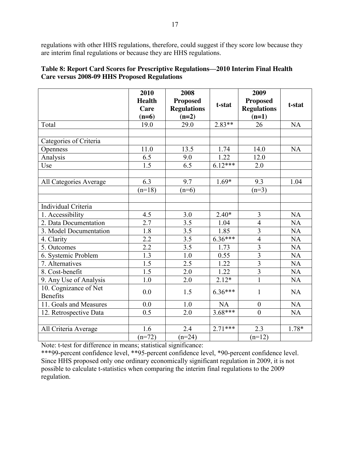regulations with other HHS regulations, therefore, could suggest if they score low because they are interim final regulations or because they are HHS regulations.

|                                | 2010             | 2008               |           | 2009                    |           |
|--------------------------------|------------------|--------------------|-----------|-------------------------|-----------|
|                                | <b>Health</b>    | <b>Proposed</b>    | t-stat    | <b>Proposed</b>         | t-stat    |
|                                | Care             | <b>Regulations</b> |           | <b>Regulations</b>      |           |
|                                | $(n=6)$          | $(n=2)$            |           | $(n=1)$                 |           |
| Total                          | 19.0             | $\overline{29.0}$  | $2.83**$  | 26                      | <b>NA</b> |
|                                |                  |                    |           |                         |           |
| Categories of Criteria         |                  |                    |           |                         |           |
| Openness                       | 11.0             | 13.5               | 1.74      | 14.0                    | <b>NA</b> |
| Analysis                       | 6.5              | 9.0                | 1.22      | 12.0                    |           |
| Use                            | 1.5              | 6.5                | $6.12***$ | 2.0                     |           |
|                                |                  |                    |           |                         |           |
| All Categories Average         | 6.3              | 9.7                | $1.69*$   | 9.3                     | 1.04      |
|                                | $(n=18)$         | $(n=6)$            |           | $(n=3)$                 |           |
|                                |                  |                    |           |                         |           |
| Individual Criteria            |                  |                    |           |                         |           |
| $\overline{1}$ . Accessibility | 4.5              | 3.0                | $2.40*$   | 3                       | <b>NA</b> |
| 2. Data Documentation          | 2.7              | $\overline{3.5}$   | 1.04      | $\overline{4}$          | <b>NA</b> |
| 3. Model Documentation         | 1.8              | 3.5                | 1.85      | $\overline{\mathbf{3}}$ | <b>NA</b> |
| 4. Clarity                     | $\overline{2.2}$ | $\overline{3.5}$   | $6.36***$ | $\overline{4}$          | <b>NA</b> |
| 5. Outcomes                    | $\overline{2.2}$ | 3.5                | 1.73      | $\overline{3}$          | <b>NA</b> |
| 6. Systemic Problem            | 1.3              | 1.0                | 0.55      | $\overline{3}$          | <b>NA</b> |
| 7. Alternatives                | 1.5              | 2.5                | 1.22      | $\overline{3}$          | NA        |
| 8. Cost-benefit                | $\overline{1.5}$ | $\overline{2.0}$   | 1.22      | $\overline{3}$          | <b>NA</b> |
| 9. Any Use of Analysis         | 1.0              | 2.0                | $2.12*$   | $\mathbf{1}$            | <b>NA</b> |
| 10. Cognizance of Net          | 0.0              | 1.5                | $6.36***$ | $\mathbf{1}$            | <b>NA</b> |
| <b>Benefits</b>                |                  |                    |           |                         |           |
| 11. Goals and Measures         | 0.0              | 1.0                | NA        | $\theta$                | <b>NA</b> |
| 12. Retrospective Data         | 0.5              | 2.0                | $3.68***$ | $\overline{0}$          | <b>NA</b> |
|                                |                  |                    |           |                         |           |
| All Criteria Average           | 1.6              | 2.4                | $2.71***$ | 2.3                     | 1.78*     |
|                                | $(n=72)$         | $(n=24)$           |           | $(n=12)$                |           |

# **Table 8: Report Card Scores for Prescriptive Regulations—2010 Interim Final Health Care versus 2008-09 HHS Proposed Regulations**

Note: t-test for difference in means; statistical significance:

\*\*\*99-percent confidence level, \*\*95-percent confidence level, \*90-percent confidence level. Since HHS proposed only one ordinary economically significant regulation in 2009, it is not possible to calculate t-statistics when comparing the interim final regulations to the 2009 regulation.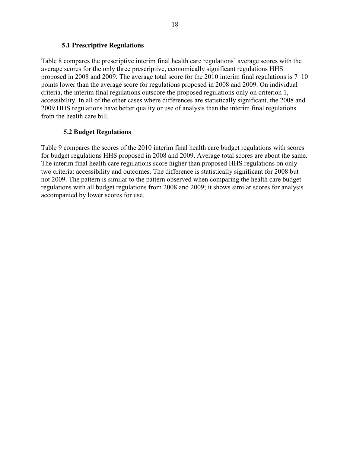#### **5.1 Prescriptive Regulations**

Table 8 compares the prescriptive interim final health care regulations' average scores with the average scores for the only three prescriptive, economically significant regulations HHS proposed in 2008 and 2009. The average total score for the 2010 interim final regulations is 7–10 points lower than the average score for regulations proposed in 2008 and 2009. On individual criteria, the interim final regulations outscore the proposed regulations only on criterion 1, accessibility. In all of the other cases where differences are statistically significant, the 2008 and 2009 HHS regulations have better quality or use of analysis than the interim final regulations from the health care bill.

## **5.2 Budget Regulations**

Table 9 compares the scores of the 2010 interim final health care budget regulations with scores for budget regulations HHS proposed in 2008 and 2009. Average total scores are about the same. The interim final health care regulations score higher than proposed HHS regulations on only two criteria: accessibility and outcomes. The difference is statistically significant for 2008 but not 2009. The pattern is similar to the pattern observed when comparing the health care budget regulations with all budget regulations from 2008 and 2009; it shows similar scores for analysis accompanied by lower scores for use.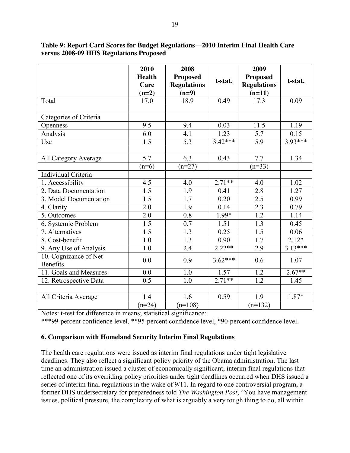|                        | 2010             | 2008               |           | 2009               |           |
|------------------------|------------------|--------------------|-----------|--------------------|-----------|
|                        | <b>Health</b>    | <b>Proposed</b>    | t-stat.   | <b>Proposed</b>    | t-stat.   |
|                        | Care             | <b>Regulations</b> |           | <b>Regulations</b> |           |
|                        | $(n=2)$          | $(n=9)$            |           | $(n=11)$           |           |
| Total                  | 17.0             | 18.9               | 0.49      | 17.3               | 0.09      |
|                        |                  |                    |           |                    |           |
| Categories of Criteria |                  |                    |           |                    |           |
| Openness               | 9.5              | 9.4                | 0.03      | 11.5               | 1.19      |
| Analysis               | 6.0              | 4.1                | 1.23      | 5.7                | 0.15      |
| Use                    | 1.5              | 5.3                | $3.42***$ | 5.9                | 3.93***   |
|                        |                  |                    |           |                    |           |
| All Category Average   | 5.7              | 6.3                | 0.43      | 7.7                | 1.34      |
|                        | $(n=6)$          | $(n=27)$           |           | $(n=33)$           |           |
| Individual Criteria    |                  |                    |           |                    |           |
| 1. Accessibility       | 4.5              | 4.0                | $2.71**$  | 4.0                | 1.02      |
| 2. Data Documentation  | 1.5              | 1.9                | 0.41      | 2.8                | 1.27      |
| 3. Model Documentation | 1.5              | 1.7                | 0.20      | 2.5                | 0.99      |
| 4. Clarity             | 2.0              | 1.9                | 0.14      | 2.3                | 0.79      |
| 5. Outcomes            | 2.0              | 0.8                | $1.99*$   | 1.2                | 1.14      |
| 6. Systemic Problem    | 1.5              | 0.7                | 1.51      | 1.3                | 0.45      |
| 7. Alternatives        | $\overline{1.5}$ | 1.3                | 0.25      | 1.5                | 0.06      |
| 8. Cost-benefit        | 1.0              | 1.3                | 0.90      | $\overline{1.7}$   | $2.12*$   |
| 9. Any Use of Analysis | $1.0\,$          | 2.4                | $2.22**$  | 2.9                | $3.13***$ |
| 10. Cognizance of Net  | 0.0              | 0.9                | $3.62***$ | 0.6                | 1.07      |
| <b>Benefits</b>        |                  |                    |           |                    |           |
| 11. Goals and Measures | 0.0              | 1.0                | 1.57      | 1.2                | $2.67**$  |
| 12. Retrospective Data | $\overline{0.5}$ | 1.0                | $2.71**$  | $\overline{1.2}$   | 1.45      |
|                        |                  |                    |           |                    |           |
| All Criteria Average   | 1.4              | 1.6                | 0.59      | 1.9                | 1.87*     |
|                        | $(n=24)$         | $(n=108)$          |           | $(n=132)$          |           |

**Table 9: Report Card Scores for Budget Regulations—2010 Interim Final Health Care versus 2008-09 HHS Regulations Proposed**

Notes: t-test for difference in means; statistical significance:

\*\*\*99-percent confidence level, \*\*95-percent confidence level, \*90-percent confidence level.

#### **6. Comparison with Homeland Security Interim Final Regulations**

The health care regulations were issued as interim final regulations under tight legislative deadlines. They also reflect a significant policy priority of the Obama administration. The last time an administration issued a cluster of economically significant, interim final regulations that reflected one of its overriding policy priorities under tight deadlines occurred when DHS issued a series of interim final regulations in the wake of 9/11. In regard to one controversial program, a former DHS undersecretary for preparedness told *The Washington Post*, "You have management issues, political pressure, the complexity of what is arguably a very tough thing to do, all within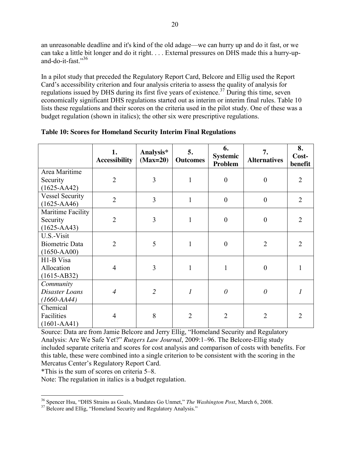an unreasonable deadline and it's kind of the old adage—we can hurry up and do it fast, or we can take a little bit longer and do it right. . . . External pressures on DHS made this a hurry-upand-do-it-fast $^{356}$ 

In a pilot study that preceded the Regulatory Report Card, Belcore and Ellig used the Report Card's accessibility criterion and four analysis criteria to assess the quality of analysis for regulations issued by DHS during its first five years of existence.<sup>37</sup> During this time, seven economically significant DHS regulations started out as interim or interim final rules. Table 10 lists these regulations and their scores on the criteria used in the pilot study. One of these was a budget regulation (shown in italics); the other six were prescriptive regulations.

|                                                        | 1.<br><b>Accessibility</b> | Analysis*<br>$(Max=20)$ | 5.<br><b>Outcomes</b> | 6.<br><b>Systemic</b><br>Problem | 7.<br><b>Alternatives</b> | 8.<br>Cost-<br>benefit |
|--------------------------------------------------------|----------------------------|-------------------------|-----------------------|----------------------------------|---------------------------|------------------------|
| Area Maritime<br>Security<br>$(1625 - AA42)$           | $\overline{2}$             | $\overline{3}$          | 1                     | $\overline{0}$                   | $\mathbf{0}$              | $\overline{2}$         |
| <b>Vessel Security</b><br>$(1625 - AA46)$              | $\overline{2}$             | 3                       | $\mathbf{1}$          | $\theta$                         | $\overline{0}$            | $\overline{2}$         |
| Maritime Facility<br>Security<br>$(1625 - AA43)$       | $\overline{2}$             | $\overline{3}$          | $\mathbf{1}$          | $\overline{0}$                   | $\boldsymbol{0}$          | $\overline{2}$         |
| U.S.-Visit<br><b>Biometric Data</b><br>$(1650 - AA00)$ | $\overline{2}$             | 5                       | 1                     | $\overline{0}$                   | $\overline{2}$            | $\overline{2}$         |
| H <sub>1</sub> -B Visa<br>Allocation<br>$(1615-AB32)$  | $\overline{4}$             | $\overline{3}$          | $\mathbf{1}$          | $\mathbf{1}$                     | $\boldsymbol{0}$          | $\mathbf{1}$           |
| Community<br>Disaster Loans<br>$(1660 - AA44)$         | $\overline{4}$             | $\overline{2}$          | 1                     | $\theta$                         | $\theta$                  | $\boldsymbol{l}$       |
| Chemical<br>Facilities<br>$(1601 - AA41)$              | $\overline{4}$             | 8                       | $\overline{2}$        | $\overline{2}$                   | $\overline{2}$            | $\overline{2}$         |

**Table 10: Scores for Homeland Security Interim Final Regulations**

Source: Data are from Jamie Belcore and Jerry Ellig, "Homeland Security and Regulatory Analysis: Are We Safe Yet?" *Rutgers Law Journal*, 2009:1–96. The Belcore-Ellig study included separate criteria and scores for cost analysis and comparison of costs with benefits. For this table, these were combined into a single criterion to be consistent with the scoring in the Mercatus Center's Regulatory Report Card.

\*This is the sum of scores on criteria 5–8.

Note: The regulation in italics is a budget regulation.

<sup>&</sup>lt;sup>36</sup> Spencer Hsu, "DHS Strains as Goals, Mandates Go Unmet," *The Washington Post*, March 6, 2008.<br><sup>37</sup> Belcore and Ellig, "Homeland Security and Regulatory Analysis."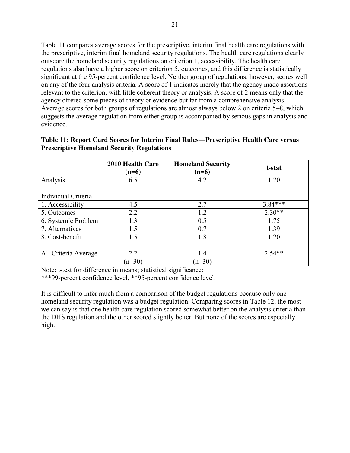Table 11 compares average scores for the prescriptive, interim final health care regulations with the prescriptive, interim final homeland security regulations. The health care regulations clearly outscore the homeland security regulations on criterion 1, accessibility. The health care regulations also have a higher score on criterion 5, outcomes, and this difference is statistically significant at the 95-percent confidence level. Neither group of regulations, however, scores well on any of the four analysis criteria. A score of 1 indicates merely that the agency made assertions relevant to the criterion, with little coherent theory or analysis. A score of 2 means only that the agency offered some pieces of theory or evidence but far from a comprehensive analysis. Average scores for both groups of regulations are almost always below 2 on criteria 5–8, which suggests the average regulation from either group is accompanied by serious gaps in analysis and evidence.

|                      | 2010 Health Care<br>$(n=6)$ | <b>Homeland Security</b><br>$(n=6)$ | t-stat    |
|----------------------|-----------------------------|-------------------------------------|-----------|
| Analysis             | 6.5                         | 4.2                                 | 1.70      |
|                      |                             |                                     |           |
| Individual Criteria  |                             |                                     |           |
| 1. Accessibility     | 4.5                         | 2.7                                 | $3.84***$ |
| 5. Outcomes          | 2.2                         | 1.2                                 | $2.30**$  |
| 6. Systemic Problem  | 1.3                         | 0.5                                 | 1.75      |
| 7. Alternatives      | 1.5                         | 0.7                                 | 1.39      |
| 8. Cost-benefit      | 1.5                         | 1.8                                 | 1.20      |
|                      |                             |                                     |           |
| All Criteria Average | 2.2                         | 1.4                                 | $2.54**$  |
|                      | $(n=30)$                    | $(n=30)$                            |           |

#### **Table 11: Report Card Scores for Interim Final Rules—Prescriptive Health Care versus Prescriptive Homeland Security Regulations**

Note: t-test for difference in means; statistical significance:

\*\*\*99-percent confidence level, \*\*95-percent confidence level.

It is difficult to infer much from a comparison of the budget regulations because only one homeland security regulation was a budget regulation. Comparing scores in Table 12, the most we can say is that one health care regulation scored somewhat better on the analysis criteria than the DHS regulation and the other scored slightly better. But none of the scores are especially high.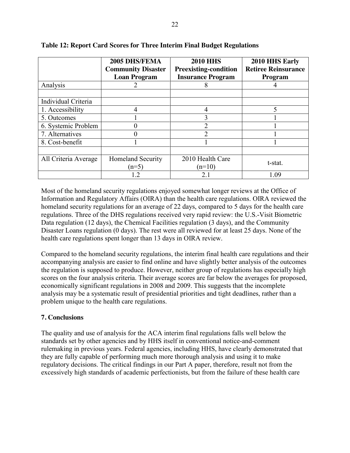|                      | 2005 DHS/FEMA<br><b>Community Disaster</b> | <b>2010 HHS</b><br><b>Preexisting-condition</b> | 2010 HHS Early<br><b>Retiree Reinsurance</b> |
|----------------------|--------------------------------------------|-------------------------------------------------|----------------------------------------------|
|                      | <b>Loan Program</b>                        | <b>Insurance Program</b>                        | Program                                      |
| Analysis             |                                            |                                                 |                                              |
|                      |                                            |                                                 |                                              |
| Individual Criteria  |                                            |                                                 |                                              |
| 1. Accessibility     |                                            | 4                                               | 5                                            |
| 5. Outcomes          |                                            | 3                                               |                                              |
| 6. Systemic Problem  |                                            | $\mathfrak{D}$                                  |                                              |
| 7. Alternatives      |                                            |                                                 |                                              |
| 8. Cost-benefit      |                                            |                                                 |                                              |
|                      |                                            |                                                 |                                              |
| All Criteria Average | Homeland Security                          | 2010 Health Care                                | t-stat.                                      |
|                      | $(n=5)$                                    | $(n=10)$                                        |                                              |
|                      |                                            | 2.1                                             | 1.09                                         |

## **Table 12: Report Card Scores for Three Interim Final Budget Regulations**

Most of the homeland security regulations enjoyed somewhat longer reviews at the Office of Information and Regulatory Affairs (OIRA) than the health care regulations. OIRA reviewed the homeland security regulations for an average of 22 days, compared to 5 days for the health care regulations. Three of the DHS regulations received very rapid review: the U.S.-Visit Biometric Data regulation (12 days), the Chemical Facilities regulation (3 days), and the Community Disaster Loans regulation (0 days). The rest were all reviewed for at least 25 days. None of the health care regulations spent longer than 13 days in OIRA review.

Compared to the homeland security regulations, the interim final health care regulations and their accompanying analysis are easier to find online and have slightly better analysis of the outcomes the regulation is supposed to produce. However, neither group of regulations has especially high scores on the four analysis criteria. Their average scores are far below the averages for proposed, economically significant regulations in 2008 and 2009. This suggests that the incomplete analysis may be a systematic result of presidential priorities and tight deadlines, rather than a problem unique to the health care regulations.

#### **7. Conclusions**

The quality and use of analysis for the ACA interim final regulations falls well below the standards set by other agencies and by HHS itself in conventional notice-and-comment rulemaking in previous years. Federal agencies, including HHS, have clearly demonstrated that they are fully capable of performing much more thorough analysis and using it to make regulatory decisions. The critical findings in our Part A paper, therefore, result not from the excessively high standards of academic perfectionists, but from the failure of these health care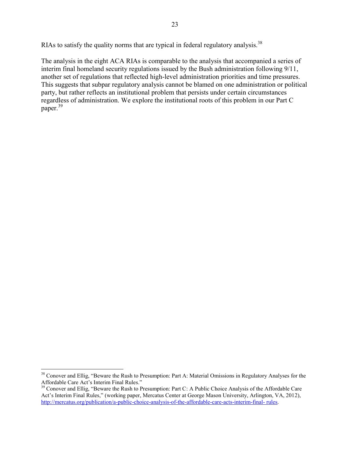The analysis in the eight ACA RIAs is comparable to the analysis that accompanied a series of interim final homeland security regulations issued by the Bush administration following 9/11, another set of regulations that reflected high-level administration priorities and time pressures. This suggests that subpar regulatory analysis cannot be blamed on one administration or political party, but rather reflects an institutional problem that persists under certain circumstances regardless of administration. We explore the institutional roots of this problem in our Part C paper. 39

<sup>&</sup>lt;sup>38</sup> Conover and Ellig, "Beware the Rush to Presumption: Part A: Material Omissions in Regulatory Analyses for the Affordable Care Act's Interim Final Rules."

<sup>&</sup>lt;sup>39</sup> Conover and Ellig, "Beware the Rush to Presumption: Part C: A Public Choice Analysis of the Affordable Care Act's Interim Final Rules," (working paper, Mercatus Center at George Mason University, Arlington, VA, 2012), [http://mercatus.org/publication/a-public-choice-analysis-of-the-affordable-care-acts-interim-final-](http://mercatus.org/publication/a-public-choice-analysis-of-the-affordable-care-acts-interim-final-%20rules) rules.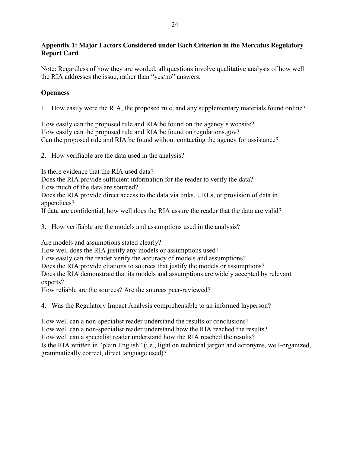## **Appendix 1: Major Factors Considered under Each Criterion in the Mercatus Regulatory Report Card**

Note: Regardless of how they are worded, all questions involve qualitative analysis of how well the RIA addresses the issue, rather than "yes/no" answers.

# **Openness**

1. How easily were the RIA, the proposed rule, and any supplementary materials found online?

How easily can the proposed rule and RIA be found on the agency's website? How easily can the proposed rule and RIA be found on regulations.gov? Can the proposed rule and RIA be found without contacting the agency for assistance?

2. How verifiable are the data used in the analysis?

Is there evidence that the RIA used data?

Does the RIA provide sufficient information for the reader to verify the data?

How much of the data are sourced?

Does the RIA provide direct access to the data via links, URLs, or provision of data in appendices?

If data are confidential, how well does the RIA assure the reader that the data are valid?

3. How verifiable are the models and assumptions used in the analysis?

Are models and assumptions stated clearly?

How well does the RIA justify any models or assumptions used? How easily can the reader verify the accuracy of models and assumptions? Does the RIA provide citations to sources that justify the models or assumptions? Does the RIA demonstrate that its models and assumptions are widely accepted by relevant experts?

How reliable are the sources? Are the sources peer-reviewed?

4. Was the Regulatory Impact Analysis comprehensible to an informed layperson?

How well can a non-specialist reader understand the results or conclusions? How well can a non-specialist reader understand how the RIA reached the results? How well can a specialist reader understand how the RIA reached the results? Is the RIA written in "plain English" (i.e., light on technical jargon and acronyms, well-organized, grammatically correct, direct language used)?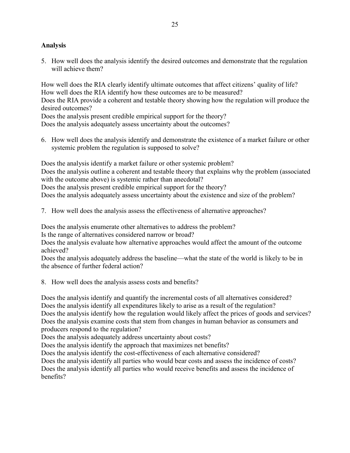## **Analysis**

5. How well does the analysis identify the desired outcomes and demonstrate that the regulation will achieve them?

How well does the RIA clearly identify ultimate outcomes that affect citizens' quality of life? How well does the RIA identify how these outcomes are to be measured?

Does the RIA provide a coherent and testable theory showing how the regulation will produce the desired outcomes?

Does the analysis present credible empirical support for the theory?

Does the analysis adequately assess uncertainty about the outcomes?

6. How well does the analysis identify and demonstrate the existence of a market failure or other systemic problem the regulation is supposed to solve?

Does the analysis identify a market failure or other systemic problem?

Does the analysis outline a coherent and testable theory that explains why the problem (associated with the outcome above) is systemic rather than anecdotal?

Does the analysis present credible empirical support for the theory?

Does the analysis adequately assess uncertainty about the existence and size of the problem?

7. How well does the analysis assess the effectiveness of alternative approaches?

Does the analysis enumerate other alternatives to address the problem?

Is the range of alternatives considered narrow or broad?

Does the analysis evaluate how alternative approaches would affect the amount of the outcome achieved?

Does the analysis adequately address the baseline—what the state of the world is likely to be in the absence of further federal action?

8. How well does the analysis assess costs and benefits?

Does the analysis identify and quantify the incremental costs of all alternatives considered? Does the analysis identify all expenditures likely to arise as a result of the regulation? Does the analysis identify how the regulation would likely affect the prices of goods and services? Does the analysis examine costs that stem from changes in human behavior as consumers and

producers respond to the regulation?

Does the analysis adequately address uncertainty about costs?

Does the analysis identify the approach that maximizes net benefits?

Does the analysis identify the cost-effectiveness of each alternative considered?

Does the analysis identify all parties who would bear costs and assess the incidence of costs? Does the analysis identify all parties who would receive benefits and assess the incidence of benefits?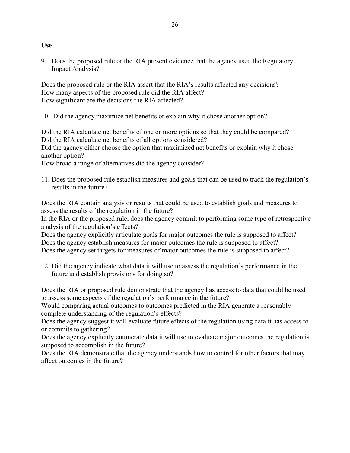**Use**

9. Does the proposed rule or the RIA present evidence that the agency used the Regulatory Impact Analysis?

Does the proposed rule or the RIA assert that the RIA's results affected any decisions? How many aspects of the proposed rule did the RIA affect? How significant are the decisions the RIA affected?

10. Did the agency maximize net benefits or explain why it chose another option?

Did the RIA calculate net benefits of one or more options so that they could be compared? Did the RIA calculate net benefits of all options considered?

Did the agency either choose the option that maximized net benefits or explain why it chose another option?

How broad a range of alternatives did the agency consider?

11. Does the proposed rule establish measures and goals that can be used to track the regulation's results in the future?

Does the RIA contain analysis or results that could be used to establish goals and measures to assess the results of the regulation in the future?

In the RIA or the proposed rule, does the agency commit to performing some type of retrospective analysis of the regulation's effects?

Does the agency explicitly articulate goals for major outcomes the rule is supposed to affect? Does the agency establish measures for major outcomes the rule is supposed to affect? Does the agency set targets for measures of major outcomes the rule is supposed to affect?

12. Did the agency indicate what data it will use to assess the regulation's performance in the future and establish provisions for doing so?

Does the RIA or proposed rule demonstrate that the agency has access to data that could be used to assess some aspects of the regulation's performance in the future?

Would comparing actual outcomes to outcomes predicted in the RIA generate a reasonably complete understanding of the regulation's effects?

Does the agency suggest it will evaluate future effects of the regulation using data it has access to or commits to gathering?

Does the agency explicitly enumerate data it will use to evaluate major outcomes the regulation is supposed to accomplish in the future?

Does the RIA demonstrate that the agency understands how to control for other factors that may affect outcomes in the future?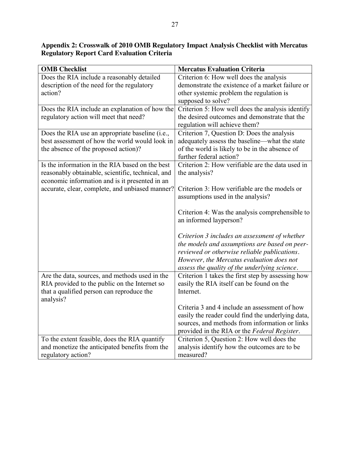**Appendix 2: Crosswalk of 2010 OMB Regulatory Impact Analysis Checklist with Mercatus Regulatory Report Card Evaluation Criteria**

| <b>OMB</b> Checklist                              | <b>Mercatus Evaluation Criteria</b>                                                            |
|---------------------------------------------------|------------------------------------------------------------------------------------------------|
| Does the RIA include a reasonably detailed        | Criterion 6: How well does the analysis                                                        |
| description of the need for the regulatory        | demonstrate the existence of a market failure or                                               |
| action?                                           | other systemic problem the regulation is                                                       |
|                                                   | supposed to solve?                                                                             |
| Does the RIA include an explanation of how the    | Criterion 5: How well does the analysis identify                                               |
| regulatory action will meet that need?            | the desired outcomes and demonstrate that the                                                  |
|                                                   | regulation will achieve them?                                                                  |
| Does the RIA use an appropriate baseline (i.e.,   | Criterion 7, Question D: Does the analysis                                                     |
| best assessment of how the world would look in    | adequately assess the baseline—what the state                                                  |
| the absence of the proposed action)?              | of the world is likely to be in the absence of                                                 |
|                                                   | further federal action?                                                                        |
| Is the information in the RIA based on the best   | Criterion 2: How verifiable are the data used in                                               |
| reasonably obtainable, scientific, technical, and | the analysis?                                                                                  |
| economic information and is it presented in an    |                                                                                                |
| accurate, clear, complete, and unbiased manner?   | Criterion 3: How verifiable are the models or                                                  |
|                                                   | assumptions used in the analysis?                                                              |
|                                                   | Criterion 4: Was the analysis comprehensible to<br>an informed layperson?                      |
|                                                   |                                                                                                |
|                                                   | Criterion 3 includes an assessment of whether<br>the models and assumptions are based on peer- |
|                                                   | reviewed or otherwise reliable publications.                                                   |
|                                                   | However, the Mercatus evaluation does not                                                      |
|                                                   | assess the quality of the underlying science.                                                  |
| Are the data, sources, and methods used in the    | Criterion 1 takes the first step by assessing how                                              |
| RIA provided to the public on the Internet so     | easily the RIA itself can be found on the                                                      |
| that a qualified person can reproduce the         | Internet.                                                                                      |
| analysis?                                         |                                                                                                |
|                                                   | Criteria 3 and 4 include an assessment of how                                                  |
|                                                   | easily the reader could find the underlying data,                                              |
|                                                   | sources, and methods from information or links                                                 |
|                                                   | provided in the RIA or the Federal Register.                                                   |
| To the extent feasible, does the RIA quantify     | Criterion 5, Question 2: How well does the                                                     |
| and monetize the anticipated benefits from the    | analysis identify how the outcomes are to be                                                   |
| regulatory action?                                | measured?                                                                                      |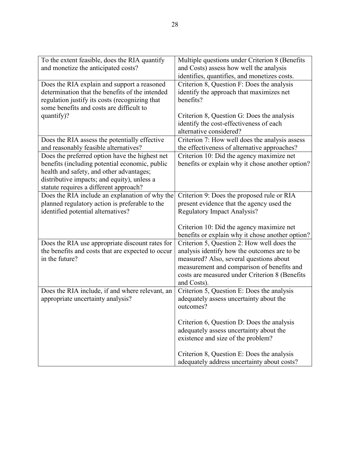| To the extent feasible, does the RIA quantify     | Multiple questions under Criterion 8 (Benefits   |
|---------------------------------------------------|--------------------------------------------------|
| and monetize the anticipated costs?               | and Costs) assess how well the analysis          |
|                                                   | identifies, quantifies, and monetizes costs.     |
| Does the RIA explain and support a reasoned       | Criterion 8, Question F: Does the analysis       |
| determination that the benefits of the intended   | identify the approach that maximizes net         |
| regulation justify its costs (recognizing that    | benefits?                                        |
| some benefits and costs are difficult to          |                                                  |
| quantify)?                                        | Criterion 8, Question G: Does the analysis       |
|                                                   | identify the cost-effectiveness of each          |
|                                                   | alternative considered?                          |
| Does the RIA assess the potentially effective     | Criterion 7: How well does the analysis assess   |
| and reasonably feasible alternatives?             | the effectiveness of alternative approaches?     |
| Does the preferred option have the highest net    | Criterion 10: Did the agency maximize net        |
| benefits (including potential economic, public    | benefits or explain why it chose another option? |
| health and safety, and other advantages;          |                                                  |
| distributive impacts; and equity), unless a       |                                                  |
| statute requires a different approach?            |                                                  |
| Does the RIA include an explanation of why the    | Criterion 9: Does the proposed rule or RIA       |
| planned regulatory action is preferable to the    | present evidence that the agency used the        |
| identified potential alternatives?                | <b>Regulatory Impact Analysis?</b>               |
|                                                   |                                                  |
|                                                   | Criterion 10: Did the agency maximize net        |
|                                                   | benefits or explain why it chose another option? |
| Does the RIA use appropriate discount rates for   | Criterion 5, Question 2: How well does the       |
| the benefits and costs that are expected to occur | analysis identify how the outcomes are to be     |
| in the future?                                    | measured? Also, several questions about          |
|                                                   | measurement and comparison of benefits and       |
|                                                   | costs are measured under Criterion 8 (Benefits   |
|                                                   | and Costs).                                      |
| Does the RIA include, if and where relevant, an   | Criterion 5, Question E: Does the analysis       |
| appropriate uncertainty analysis?                 | adequately assess uncertainty about the          |
|                                                   | outcomes?                                        |
|                                                   |                                                  |
|                                                   | Criterion 6, Question D: Does the analysis       |
|                                                   | adequately assess uncertainty about the          |
|                                                   | existence and size of the problem?               |
|                                                   |                                                  |
|                                                   | Criterion 8, Question E: Does the analysis       |
|                                                   | adequately address uncertainty about costs?      |